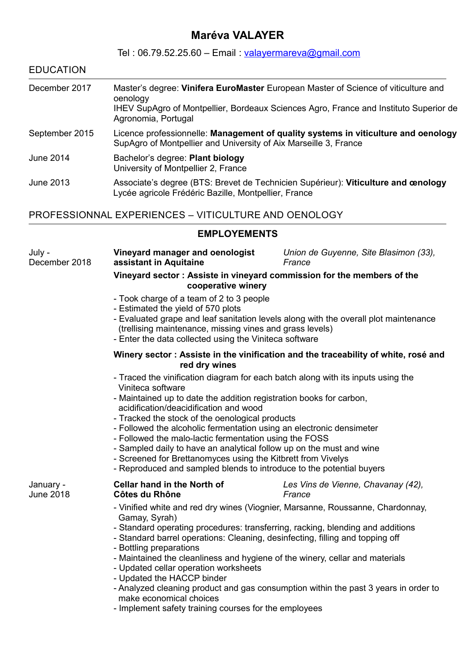## **Maréva VALAYER**

 $T_{\text{el}}$  : 06.70.59.25.60 – Email : valayermareva@gmail.

| <b>EDUCATION</b>        |                                                                                                                                                                                                                                                                                                                                                 |                                                                                      |  |
|-------------------------|-------------------------------------------------------------------------------------------------------------------------------------------------------------------------------------------------------------------------------------------------------------------------------------------------------------------------------------------------|--------------------------------------------------------------------------------------|--|
| December 2017           | Master's degree: Vinifera EuroMaster European Master of Science of viticulture and<br>oenology<br>IHEV SupAgro of Montpellier, Bordeaux Sciences Agro, France and Instituto Superior de<br>Agronomia, Portugal                                                                                                                                  |                                                                                      |  |
| September 2015          | Licence professionnelle: Management of quality systems in viticulture and oenology<br>SupAgro of Montpellier and University of Aix Marseille 3, France                                                                                                                                                                                          |                                                                                      |  |
| <b>June 2014</b>        | Bachelor's degree: Plant biology<br>University of Montpellier 2, France                                                                                                                                                                                                                                                                         |                                                                                      |  |
| <b>June 2013</b>        | Associate's degree (BTS: Brevet de Technicien Supérieur): Viticulture and cenology<br>Lycée agricole Frédéric Bazille, Montpellier, France                                                                                                                                                                                                      |                                                                                      |  |
|                         | PROFESSIONNAL EXPERIENCES - VITICULTURE AND OENOLOGY                                                                                                                                                                                                                                                                                            |                                                                                      |  |
|                         | <b>EMPLOYEMENTS</b>                                                                                                                                                                                                                                                                                                                             |                                                                                      |  |
| July -<br>December 2018 | Vineyard manager and oenologist<br>assistant in Aquitaine                                                                                                                                                                                                                                                                                       | Union de Guyenne, Site Blasimon (33),<br>France                                      |  |
|                         | Vineyard sector: Assiste in vineyard commission for the members of the<br>cooperative winery                                                                                                                                                                                                                                                    |                                                                                      |  |
|                         | - Took charge of a team of 2 to 3 people<br>- Estimated the yield of 570 plots<br>(trellising maintenance, missing vines and grass levels)<br>- Enter the data collected using the Viniteca software                                                                                                                                            | - Evaluated grape and leaf sanitation levels along with the overall plot maintenance |  |
|                         | red dry wines                                                                                                                                                                                                                                                                                                                                   | Winery sector: Assiste in the vinification and the traceability of white, rosé and   |  |
|                         | - Traced the vinification diagram for each batch along with its inputs using the<br>Viniteca software<br>- Maintained up to date the addition registration books for carbon,<br>acidification/deacidification and wood<br>- Tracked the stock of the oenological products<br>Eollowed the alcoholic fermentation using an electronic densimater |                                                                                      |  |

- Followed the alcoholic fermentation using an electronic densimeter - Followed the malo-lactic fermentation using the FOSS
- Sampled daily to have an analytical follow up on the must and wine
	- Screened for Brettanomyces using the Kitbrett from Vivelys
	- Reproduced and sampled blends to introduce to the potential buyers

| January - | <b>Cellar hand in the North of</b>                                                                                                                                                                                                                                                                                                                                                                                                                   | Les Vins de Vienne, Chavanay (42), |
|-----------|------------------------------------------------------------------------------------------------------------------------------------------------------------------------------------------------------------------------------------------------------------------------------------------------------------------------------------------------------------------------------------------------------------------------------------------------------|------------------------------------|
| June 2018 | Côtes du Rhône                                                                                                                                                                                                                                                                                                                                                                                                                                       | France                             |
|           | - Vinified white and red dry wines (Viognier, Marsanne, Roussanne, Chardonnay,<br>Gamay, Syrah)<br>- Standard operating procedures: transferring, racking, blending and additions<br>- Standard barrel operations: Cleaning, desinfecting, filling and topping off<br>- Bottling preparations<br>- Maintained the cleanliness and hygiene of the winery, cellar and materials<br>- Updated cellar operation worksheets<br>- Updated the HACCP binder |                                    |

- Analyzed cleaning product and gas consumption within the past 3 years in order to make economical choices
- Implement safety training courses for the employees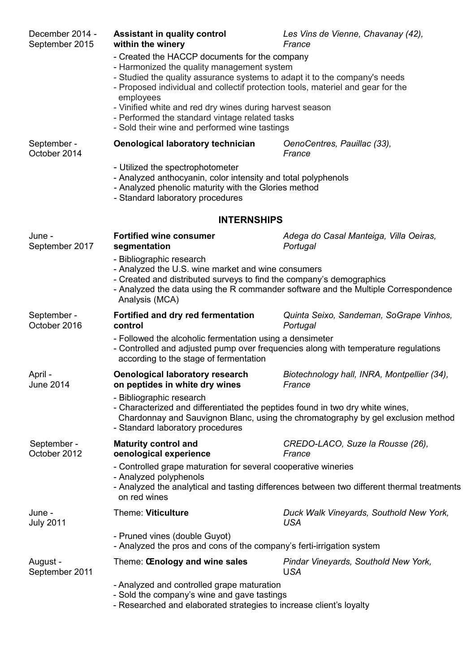| December 2014 -<br>September 2015 | <b>Assistant in quality control</b><br>within the winery                                                                                                                                                                                                                                                                                                                                                                                 | Les Vins de Vienne, Chavanay (42),<br>France                                               |  |
|-----------------------------------|------------------------------------------------------------------------------------------------------------------------------------------------------------------------------------------------------------------------------------------------------------------------------------------------------------------------------------------------------------------------------------------------------------------------------------------|--------------------------------------------------------------------------------------------|--|
|                                   | - Created the HACCP documents for the company<br>- Harmonized the quality management system<br>- Studied the quality assurance systems to adapt it to the company's needs<br>- Proposed individual and collectif protection tools, materiel and gear for the<br>employees<br>- Vinified white and red dry wines during harvest season<br>- Performed the standard vintage related tasks<br>- Sold their wine and performed wine tastings |                                                                                            |  |
| September -<br>October 2014       | <b>Oenological laboratory technician</b>                                                                                                                                                                                                                                                                                                                                                                                                 | OenoCentres, Pauillac (33),<br>France                                                      |  |
|                                   | - Utilized the spectrophotometer<br>- Analyzed anthocyanin, color intensity and total polyphenols<br>- Analyzed phenolic maturity with the Glories method<br>- Standard laboratory procedures                                                                                                                                                                                                                                            |                                                                                            |  |
|                                   | <b>INTERNSHIPS</b>                                                                                                                                                                                                                                                                                                                                                                                                                       |                                                                                            |  |
| June -<br>September 2017          | <b>Fortified wine consumer</b><br>segmentation                                                                                                                                                                                                                                                                                                                                                                                           | Adega do Casal Manteiga, Villa Oeiras,<br>Portugal                                         |  |
|                                   | - Bibliographic research<br>- Analyzed the U.S. wine market and wine consumers<br>- Created and distributed surveys to find the company's demographics<br>Analysis (MCA)                                                                                                                                                                                                                                                                 | - Analyzed the data using the R commander software and the Multiple Correspondence         |  |
| September -<br>October 2016       | Fortified and dry red fermentation<br>control                                                                                                                                                                                                                                                                                                                                                                                            | Quinta Seixo, Sandeman, SoGrape Vinhos,<br>Portugal                                        |  |
|                                   | - Followed the alcoholic fermentation using a densimeter<br>according to the stage of fermentation                                                                                                                                                                                                                                                                                                                                       | - Controlled and adjusted pump over frequencies along with temperature regulations         |  |
| April -<br>June 2014              | <b>Oenological laboratory research</b><br>on peptides in white dry wines                                                                                                                                                                                                                                                                                                                                                                 | Biotechnology hall, INRA, Montpellier (34),<br>France                                      |  |
|                                   | - Bibliographic research<br>- Characterized and differentiated the peptides found in two dry white wines,<br>- Standard laboratory procedures                                                                                                                                                                                                                                                                                            | Chardonnay and Sauvignon Blanc, using the chromatography by gel exclusion method           |  |
| September -<br>October 2012       | <b>Maturity control and</b><br>oenological experience                                                                                                                                                                                                                                                                                                                                                                                    | CREDO-LACO, Suze la Rousse (26),<br>France                                                 |  |
|                                   | - Controlled grape maturation for several cooperative wineries<br>- Analyzed polyphenols<br>on red wines                                                                                                                                                                                                                                                                                                                                 | - Analyzed the analytical and tasting differences between two different thermal treatments |  |
| June -<br><b>July 2011</b>        | <b>Theme: Viticulture</b>                                                                                                                                                                                                                                                                                                                                                                                                                | Duck Walk Vineyards, Southold New York,<br><b>USA</b>                                      |  |
|                                   | - Pruned vines (double Guyot)<br>- Analyzed the pros and cons of the company's ferti-irrigation system                                                                                                                                                                                                                                                                                                                                   |                                                                                            |  |
| August -<br>September 2011        | Theme: CEnology and wine sales                                                                                                                                                                                                                                                                                                                                                                                                           | Pindar Vineyards, Southold New York,<br><b>USA</b>                                         |  |
|                                   | - Analyzed and controlled grape maturation<br>- Sold the company's wine and gave tastings<br>- Researched and elaborated strategies to increase client's loyalty                                                                                                                                                                                                                                                                         |                                                                                            |  |
|                                   |                                                                                                                                                                                                                                                                                                                                                                                                                                          |                                                                                            |  |